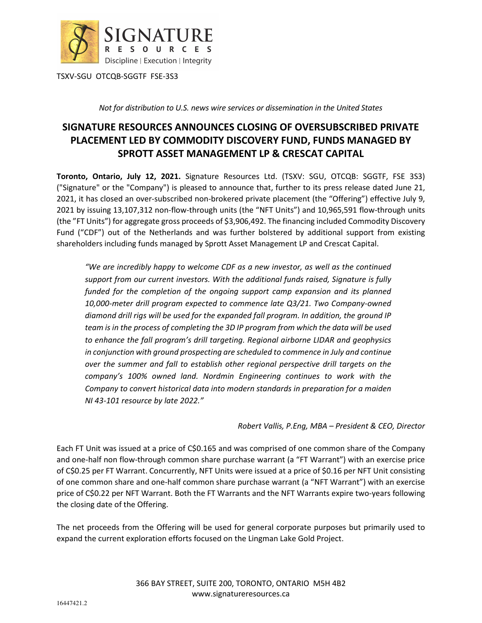

TSXV-SGU OTCQB-SGGTF FSE-3S3

*Not for distribution to U.S. news wire services or dissemination in the United States* 

## **SIGNATURE RESOURCES ANNOUNCES CLOSING OF OVERSUBSCRIBED PRIVATE PLACEMENT LED BY COMMODITY DISCOVERY FUND, FUNDS MANAGED BY SPROTT ASSET MANAGEMENT LP & CRESCAT CAPITAL**

**Toronto, Ontario, July 12, 2021.** Signature Resources Ltd. (TSXV: SGU, OTCQB: SGGTF, FSE 3S3) ("Signature" or the "Company") is pleased to announce that, further to its press release dated June 21, 2021, it has closed an over-subscribed non-brokered private placement (the "Offering") effective July 9, 2021 by issuing 13,107,312 non-flow-through units (the "NFT Units") and 10,965,591 flow-through units (the "FT Units") for aggregate gross proceeds of \$3,906,492. The financing included Commodity Discovery Fund ("CDF") out of the Netherlands and was further bolstered by additional support from existing shareholders including funds managed by Sprott Asset Management LP and Crescat Capital.

*"We are incredibly happy to welcome CDF as a new investor, as well as the continued support from our current investors. With the additional funds raised, Signature is fully funded for the completion of the ongoing support camp expansion and its planned 10,000-meter drill program expected to commence late Q3/21. Two Company-owned diamond drill rigs will be used for the expanded fall program. In addition, the ground IP team is in the process of completing the 3D IP program from which the data will be used to enhance the fall program's drill targeting. Regional airborne LIDAR and geophysics in conjunction with ground prospecting are scheduled to commence in July and continue over the summer and fall to establish other regional perspective drill targets on the company's 100% owned land. Nordmin Engineering continues to work with the Company to convert historical data into modern standards in preparation for a maiden NI 43-101 resource by late 2022."* 

*Robert Vallis, P.Eng, MBA – President & CEO, Director*

Each FT Unit was issued at a price of C\$0.165 and was comprised of one common share of the Company and one-half non flow-through common share purchase warrant (a "FT Warrant") with an exercise price of C\$0.25 per FT Warrant. Concurrently, NFT Units were issued at a price of \$0.16 per NFT Unit consisting of one common share and one-half common share purchase warrant (a "NFT Warrant") with an exercise price of C\$0.22 per NFT Warrant. Both the FT Warrants and the NFT Warrants expire two-years following the closing date of the Offering.

The net proceeds from the Offering will be used for general corporate purposes but primarily used to expand the current exploration efforts focused on the Lingman Lake Gold Project.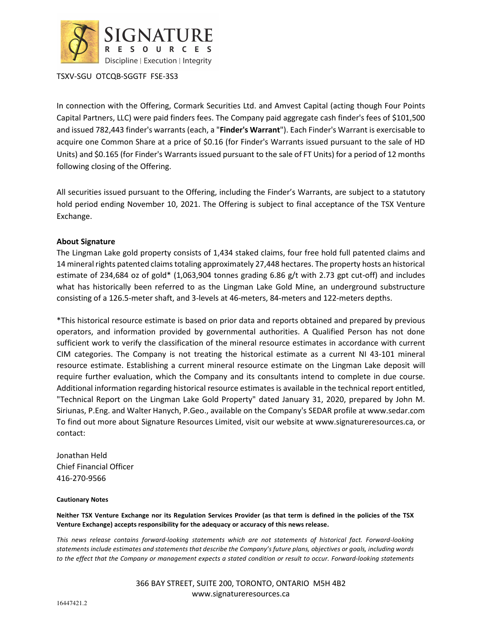

TSXV-SGU OTCQB-SGGTF FSE-3S3

In connection with the Offering, Cormark Securities Ltd. and Amvest Capital (acting though Four Points Capital Partners, LLC) were paid finders fees. The Company paid aggregate cash finder's fees of \$101,500 and issued 782,443 finder's warrants (each, a "**Finder's Warrant**"). Each Finder's Warrant is exercisable to acquire one Common Share at a price of \$0.16 (for Finder's Warrants issued pursuant to the sale of HD Units) and \$0.165 (for Finder's Warrants issued pursuant to the sale of FT Units) for a period of 12 months following closing of the Offering.

All securities issued pursuant to the Offering, including the Finder's Warrants, are subject to a statutory hold period ending November 10, 2021. The Offering is subject to final acceptance of the TSX Venture Exchange.

## **About Signature**

The Lingman Lake gold property consists of 1,434 staked claims, four free hold full patented claims and 14 mineral rights patented claims totaling approximately 27,448 hectares. The property hosts an historical estimate of 234,684 oz of gold\* (1,063,904 tonnes grading 6.86 g/t with 2.73 gpt cut-off) and includes what has historically been referred to as the Lingman Lake Gold Mine, an underground substructure consisting of a 126.5-meter shaft, and 3-levels at 46-meters, 84-meters and 122-meters depths.

\*This historical resource estimate is based on prior data and reports obtained and prepared by previous operators, and information provided by governmental authorities. A Qualified Person has not done sufficient work to verify the classification of the mineral resource estimates in accordance with current CIM categories. The Company is not treating the historical estimate as a current NI 43-101 mineral resource estimate. Establishing a current mineral resource estimate on the Lingman Lake deposit will require further evaluation, which the Company and its consultants intend to complete in due course. Additional information regarding historical resource estimates is available in the technical report entitled, "Technical Report on the Lingman Lake Gold Property" dated January 31, 2020, prepared by John M. Siriunas, P.Eng. and Walter Hanych, P.Geo., available on the Company's SEDAR profile at www.sedar.com To find out more about Signature Resources Limited, visit our website at www.signatureresources.ca, or contact:

Jonathan Held Chief Financial Officer 416-270-9566

## **Cautionary Notes**

**Neither TSX Venture Exchange nor its Regulation Services Provider (as that term is defined in the policies of the TSX Venture Exchange) accepts responsibility for the adequacy or accuracy of this news release.**

*This news release contains forward-looking statements which are not statements of historical fact. Forward-looking statements include estimates and statements that describe the Company's future plans, objectives or goals, including words to the effect that the Company or management expects a stated condition or result to occur. Forward-looking statements*